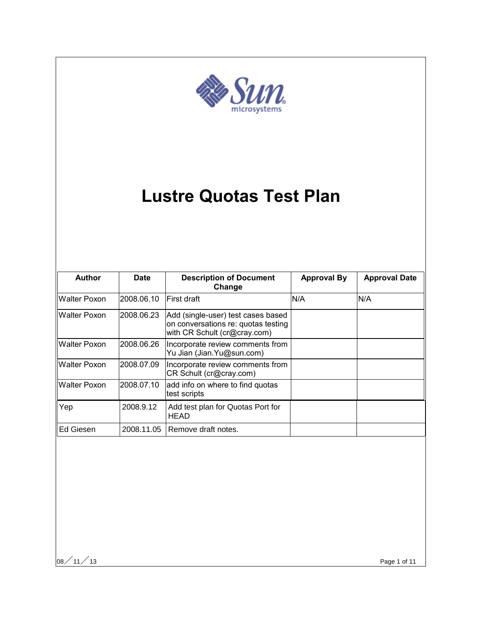

# **Lustre Quotas Test Plan**

| <b>Author</b>       | <b>Date</b> | <b>Description of Document</b><br>Change                                                                  | <b>Approval By</b> | <b>Approval Date</b> |
|---------------------|-------------|-----------------------------------------------------------------------------------------------------------|--------------------|----------------------|
| Walter Poxon        | 2008.06.10  | First draft                                                                                               | N/A                | N/A                  |
| <b>Walter Poxon</b> | 2008.06.23  | Add (single-user) test cases based<br>on conversations re: quotas testing<br>with CR Schult (cr@cray.com) |                    |                      |
| <b>Walter Poxon</b> | 2008.06.26  | Incorporate review comments from<br>Yu Jian (Jian. Yu@sun.com)                                            |                    |                      |
| <b>Walter Poxon</b> | 2008.07.09  | Incorporate review comments from<br>CR Schult (cr@cray.com)                                               |                    |                      |
| Walter Poxon        | 2008.07.10  | add info on where to find quotas<br>test scripts                                                          |                    |                      |
| Yep                 | 2008.9.12   | Add test plan for Quotas Port for<br><b>HEAD</b>                                                          |                    |                      |
| Ed Giesen           | 2008.11.05  | Remove draft notes.                                                                                       |                    |                      |

 $|08 \diagup 11 \diagup 13$  Page 1 of 11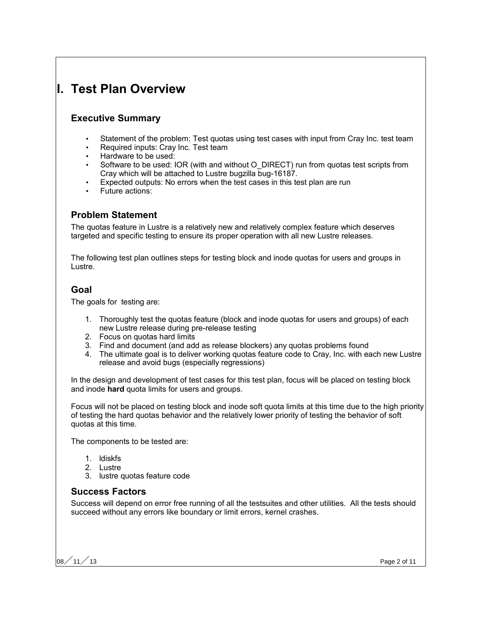# **I. Test Plan Overview**

# **Executive Summary**

- Statement of the problem: Test quotas using test cases with input from Cray Inc. test team
- Required inputs: Cray Inc. Test team
- Hardware to be used:
- Software to be used: IOR (with and without O\_DIRECT) run from quotas test scripts from Cray which will be attached to Lustre bugzilla bug-16187.
- Expected outputs: No errors when the test cases in this test plan are run
- Future actions:

# **Problem Statement**

The quotas feature in Lustre is a relatively new and relatively complex feature which deserves targeted and specific testing to ensure its proper operation with all new Lustre releases.

The following test plan outlines steps for testing block and inode quotas for users and groups in Lustre.

### **Goal**

The goals for testing are:

- 1. Thoroughly test the quotas feature (block and inode quotas for users and groups) of each new Lustre release during pre-release testing
- 2. Focus on quotas hard limits
- 3. Find and document (and add as release blockers) any quotas problems found
- 4. The ultimate goal is to deliver working quotas feature code to Cray, Inc. with each new Lustre release and avoid bugs (especially regressions)

In the design and development of test cases for this test plan, focus will be placed on testing block and inode **hard** quota limits for users and groups.

Focus will not be placed on testing block and inode soft quota limits at this time due to the high priority of testing the hard quotas behavior and the relatively lower priority of testing the behavior of soft quotas at this time.

The components to be tested are:

- 1. ldiskfs
- 2. Lustre
- 3. lustre quotas feature code

#### **Success Factors**

Success will depend on error free running of all the testsuites and other utilities. All the tests should succeed without any errors like boundary or limit errors, kernel crashes.

08 $/$  11 $/$  13  $\,$  Page 2 of 11  $\,$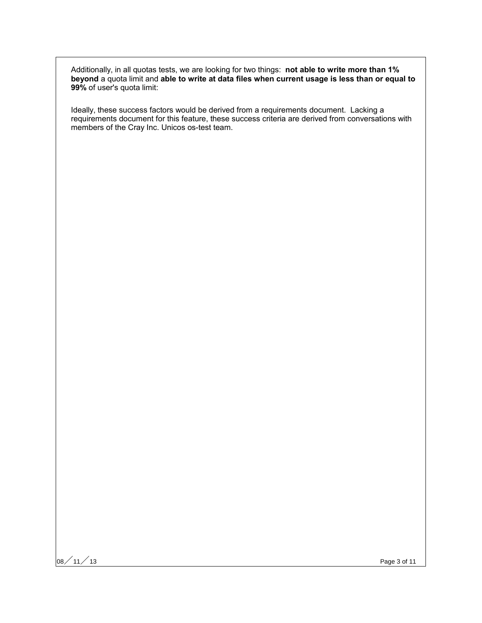Additionally, in all quotas tests, we are looking for two things: **not able to write more than 1% beyond** a quota limit and **able to write at data files when current usage is less than or equal to 99%** of user's quota limit:

Ideally, these success factors would be derived from a requirements document. Lacking a requirements document for this feature, these success criteria are derived from conversations with members of the Cray Inc. Unicos os-test team.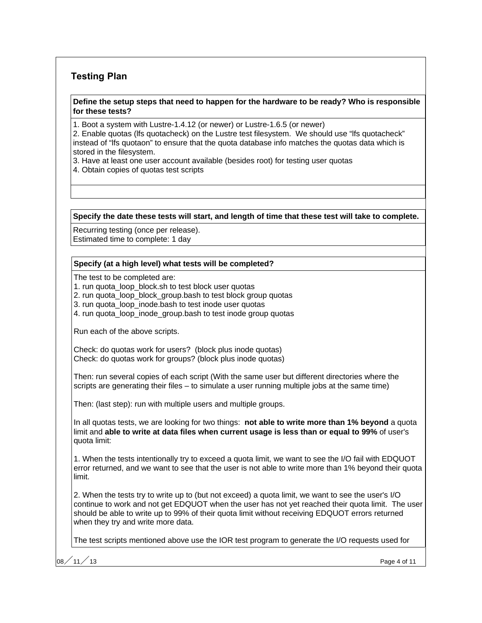# **Testing Plan**

#### **Define the setup steps that need to happen for the hardware to be ready? Who is responsible for these tests?**

1. Boot a system with Lustre-1.4.12 (or newer) or Lustre-1.6.5 (or newer)

2. Enable quotas (lfs quotacheck) on the Lustre test filesystem. We should use "lfs quotacheck" instead of "lfs quotaon" to ensure that the quota database info matches the quotas data which is stored in the filesystem.

- 3. Have at least one user account available (besides root) for testing user quotas
- 4. Obtain copies of quotas test scripts

**Specify the date these tests will start, and length of time that these test will take to complete.**

Recurring testing (once per release).

Estimated time to complete: 1 day

#### **Specify (at a high level) what tests will be completed?**

The test to be completed are:

1. run quota loop block.sh to test block user quotas

2. run quota loop block group.bash to test block group quotas

3. run quota\_loop\_inode.bash to test inode user quotas

4. run quota\_loop\_inode\_group.bash to test inode group quotas

Run each of the above scripts.

Check: do quotas work for users? (block plus inode quotas) Check: do quotas work for groups? (block plus inode quotas)

Then: run several copies of each script (With the same user but different directories where the scripts are generating their files – to simulate a user running multiple jobs at the same time)

Then: (last step): run with multiple users and multiple groups.

In all quotas tests, we are looking for two things: **not able to write more than 1% beyond** a quota limit and **able to write at data files when current usage is less than or equal to 99%** of user's quota limit:

1. When the tests intentionally try to exceed a quota limit, we want to see the I/O fail with EDQUOT error returned, and we want to see that the user is not able to write more than 1% beyond their quota limit.

2. When the tests try to write up to (but not exceed) a quota limit, we want to see the user's I/O continue to work and not get EDQUOT when the user has not yet reached their quota limit. The user should be able to write up to 99% of their quota limit without receiving EDQUOT errors returned when they try and write more data.

The test scripts mentioned above use the IOR test program to generate the I/O requests used for

08 $\big/$  11 $\big/$  13  $\,$  Page 4 of 11  $\,$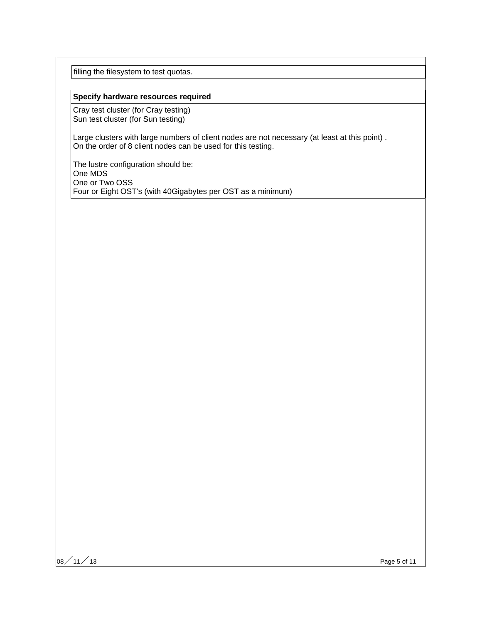filling the filesystem to test quotas.

#### **Specify hardware resources required**

Cray test cluster (for Cray testing) Sun test cluster (for Sun testing)

Large clusters with large numbers of client nodes are not necessary (at least at this point) . On the order of 8 client nodes can be used for this testing.

The lustre configuration should be: One MDS One or Two OSS Four or Eight OST's (with 40Gigabytes per OST as a minimum)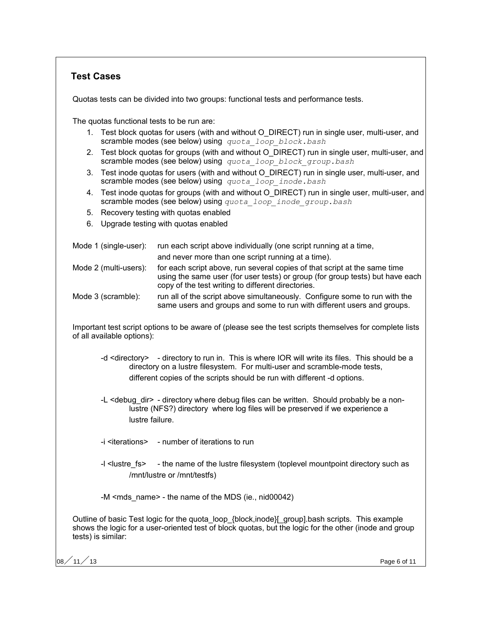# **Test Cases**

Quotas tests can be divided into two groups: functional tests and performance tests.

The quotas functional tests to be run are:

- 1. Test block quotas for users (with and without O\_DIRECT) run in single user, multi-user, and scramble modes (see below) using *quota\_loop\_block.bash*
- 2. Test block quotas for groups (with and without O\_DIRECT) run in single user, multi-user, and scramble modes (see below) using *quota\_loop\_block\_group.bash*
- 3. Test inode quotas for users (with and without O\_DIRECT) run in single user, multi-user, and scramble modes (see below) using *quota\_loop\_inode.bash*
- 4. Test inode quotas for groups (with and without O\_DIRECT) run in single user, multi-user, and scramble modes (see below) using *quota\_loop\_inode\_group.bash*
- 5. Recovery testing with quotas enabled
- 6. Upgrade testing with quotas enabled

| Mode 1 (single-user): | run each script above individually (one script running at a time,<br>and never more than one script running at a time).                                                                                          |
|-----------------------|------------------------------------------------------------------------------------------------------------------------------------------------------------------------------------------------------------------|
| Mode 2 (multi-users): | for each script above, run several copies of that script at the same time<br>using the same user (for user tests) or group (for group tests) but have each<br>copy of the test writing to different directories. |
| Mode 3 (scramble):    | run all of the script above simultaneously. Configure some to run with the<br>same users and groups and some to run with different users and groups.                                                             |

Important test script options to be aware of (please see the test scripts themselves for complete lists of all available options):

- -d <directory> directory to run in. This is where IOR will write its files. This should be a directory on a lustre filesystem. For multi-user and scramble-mode tests, different copies of the scripts should be run with different -d options.
- -L <debug dir> directory where debug files can be written. Should probably be a nonlustre (NFS?) directory where log files will be preserved if we experience a lustre failure.
- -i <iterations> number of iterations to run
- -I <lustre fs> the name of the lustre filesystem (toplevel mountpoint directory such as /mnt/lustre or /mnt/testfs)

-M <mds\_name> - the name of the MDS (ie., nid00042)

Outline of basic Test logic for the quota\_loop\_{block,inode}[\_group].bash scripts. This example shows the logic for a user-oriented test of block quotas, but the logic for the other (inode and group tests) is similar:

08 $/$  11 $/$  13  $\,$  Page 6 of 11  $\,$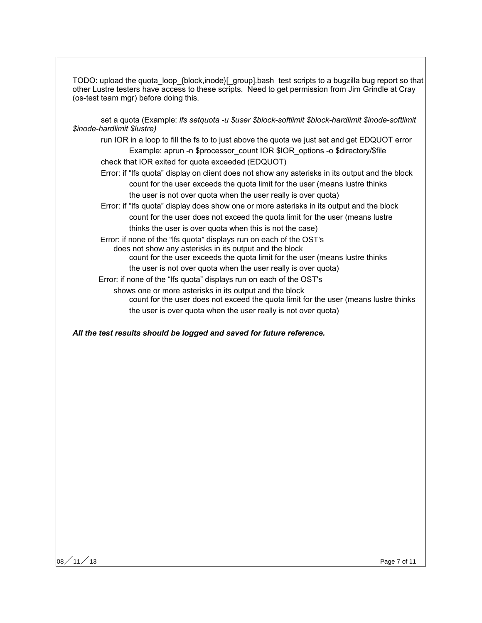TODO: upload the quota\_loop\_{block,inode}[\_group].bash test scripts to a bugzilla bug report so that other Lustre testers have access to these scripts. Need to get permission from Jim Grindle at Cray (os-test team mgr) before doing this.

set a quota (Example: *lfs setquota -u \$user \$block-softlimit \$block-hardlimit \$inode-softlimit \$inode-hardlimit \$lustre)*

run IOR in a loop to fill the fs to to just above the quota we just set and get EDQUOT error Example: aprun -n \$processor\_count IOR \$IOR\_options -o \$directory/\$file

check that IOR exited for quota exceeded (EDQUOT)

Error: if "lfs quota" display on client does not show any asterisks in its output and the block count for the user exceeds the quota limit for the user (means lustre thinks the user is not over quota when the user really is over quota)

Error: if "lfs quota" display does show one or more asterisks in its output and the block count for the user does not exceed the quota limit for the user (means lustre thinks the user is over quota when this is not the case)

 Error: if none of the "lfs quota" displays run on each of the OST's does not show any asterisks in its output and the block count for the user exceeds the quota limit for the user (means lustre thinks

the user is not over quota when the user really is over quota)

Error: if none of the "lfs quota" displays run on each of the OST's

shows one or more asterisks in its output and the block count for the user does not exceed the quota limit for the user (means lustre thinks the user is over quota when the user really is not over quota)

*All the test results should be logged and saved for future reference.*

08 $/$  11 $/$  13  $\,$  Page 7 of 11  $\,$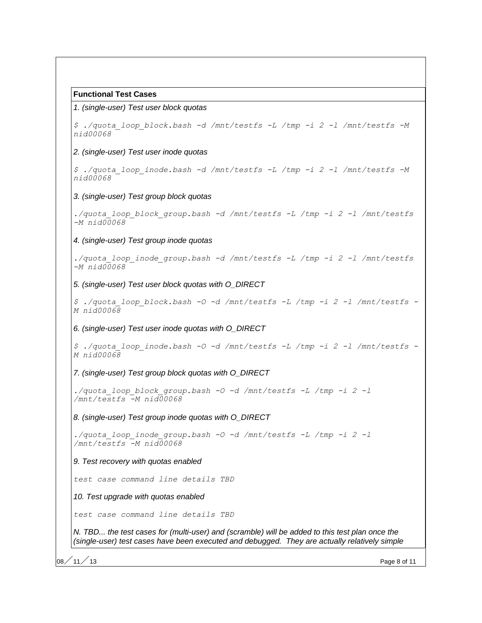#### **Functional Test Cases**

#### 1. (single-user) Test user block quotas

*\$ ./quota\_loop\_block.bash -d /mnt/testfs -L /tmp -i 2 -l /mnt/testfs -M nid00068* 2. (single-user) Test user inode quotas *\$ ./quota\_loop\_inode.bash -d /mnt/testfs -L /tmp -i 2 -l /mnt/testfs -M nid00068* 3. (single-user) Test group block quotas *./quota\_loop\_block\_group.bash -d /mnt/testfs -L /tmp -i 2 -l /mnt/testfs -M nid00068* 4. (single-user) Test group inode quotas *./quota\_loop\_inode\_group.bash -d /mnt/testfs -L /tmp -i 2 -l /mnt/testfs -M nid00068* 5. (single-user) Test user block quotas with O\_DIRECT *\$ ./quota\_loop\_block.bash -O -d /mnt/testfs -L /tmp -i 2 -l /mnt/testfs - M nid00068* 6. (single-user) Test user inode quotas with O\_DIRECT *\$ ./quota\_loop\_inode.bash -O -d /mnt/testfs -L /tmp -i 2 -l /mnt/testfs - M nid00068* 7. (single-user) Test group block quotas with O\_DIRECT *./quota\_loop\_block\_group.bash -O -d /mnt/testfs -L /tmp -i 2 -l /mnt/testfs -M nid00068* 8. (single-user) Test group inode quotas with O\_DIRECT *./quota\_loop\_inode\_group.bash -O -d /mnt/testfs -L /tmp -i 2 -l /mnt/testfs -M nid00068* 9. Test recovery with quotas enabled *test case command line details TBD* 10. Test upgrade with quotas enabled *test case command line details TBD* N. TBD... the test cases for (multi-user) and (scramble) will be added to this test plan once the (single-user) test cases have been executed and debugged. They are actually relatively simple

08 $\big/$  11 $\big/$  13  $\hspace{0.5cm}$  Page 8 of 11  $\hspace{0.5cm}$  Page 8 of 11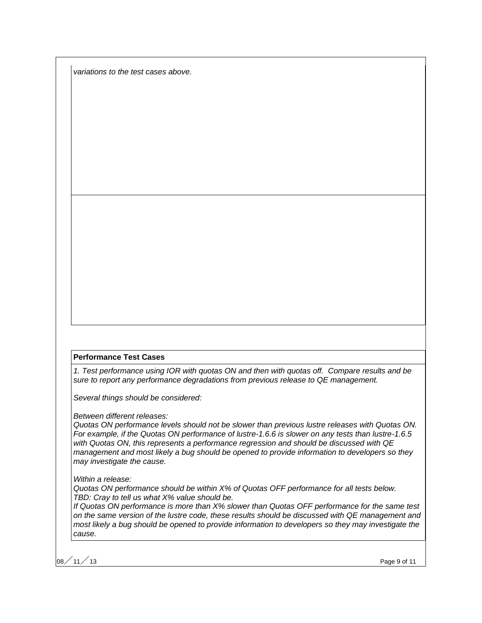variations to the test cases above.

#### **Performance Test Cases**

1. Test performance using IOR with quotas ON and then with quotas off. Compare results and be sure to report any performance degradations from previous release to QE management.

Several things should be considered:

Between different releases:

Quotas ON performance levels should not be slower than previous lustre releases with Quotas ON. For example, if the Quotas ON performance of lustre-1.6.6 is slower on any tests than lustre-1.6.5 with Quotas ON, this represents a performance regression and should be discussed with QE management and most likely a bug should be opened to provide information to developers so they may investigate the cause.

Within a release:

Quotas ON performance should be within X% of Quotas OFF performance for all tests below. TBD: Cray to tell us what X% value should be.

If Quotas ON performance is more than X% slower than Quotas OFF performance for the same test on the same version of the lustre code, these results should be discussed with QE management and most likely a bug should be opened to provide information to developers so they may investigate the cause.

 $\sim$  11  $\neq$  13 Page 9 of 11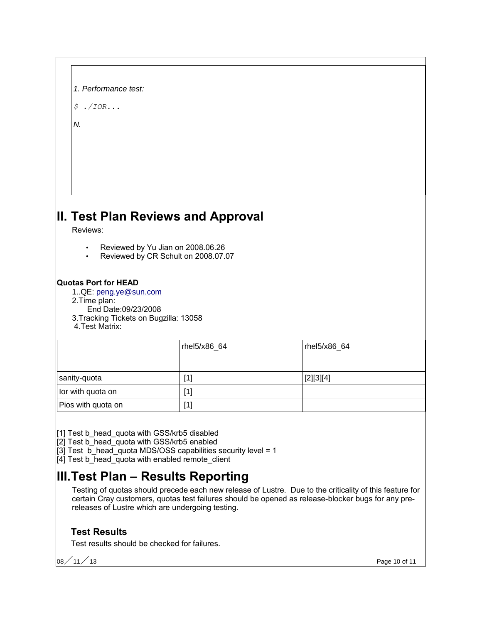| 1. Performance test: |  |
|----------------------|--|
|                      |  |

*\$ ./IOR...*

N.

# **II. Test Plan Reviews and Approval**

Reviews:

- Reviewed by Yu Jian on 2008.06.26
- Reviewed by CR Schult on 2008.07.07

# **Quotas Port for HEAD**

1..QE: [peng.ye@sun.com](mailto:peng.ye@sun.com)

- 2.Time plan:
- End Date:09/23/2008
- 3.Tracking Tickets on Bugzilla: 13058
- 4.Test Matrix:

|                    | rhel5/x86_64 | rhel5/x86_64 |
|--------------------|--------------|--------------|
| sanity-quota       | [1]          | [2][3][4]    |
| lor with quota on  | [1]          |              |
| Pios with quota on | [1]          |              |

[1] Test b\_head\_quota with GSS/krb5 disabled

[2] Test b\_head\_quota with GSS/krb5 enabled

 $\overline{3}$ ] Test  $\overline{b}$  head quota MDS/OSS capabilities security level = 1

[4] Test b\_head\_quota with enabled remote\_client

# **III.Test Plan – Results Reporting**

Testing of quotas should precede each new release of Lustre. Due to the criticality of this feature for certain Cray customers, quotas test failures should be opened as release-blocker bugs for any prereleases of Lustre which are undergoing testing.

# **Test Results**

Test results should be checked for failures.

 $\sim$  11  $\neq$  13